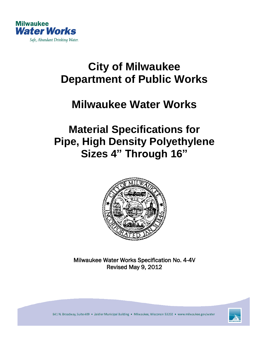

# **City of Milwaukee Department of Public Works**

## **Milwaukee Water Works**

## **Material Specifications for Pipe, High Density Polyethylene Sizes 4" Through 16"**



Milwaukee Water Works Specification No. 4-4V Revised May 9, 2012



841 N. Broadway, Suite 409 . Zeidler Municipal Building . Milwaukee, Wisconsin 53202 . www.milwaukee.gov/water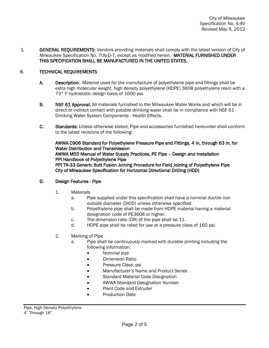I. GENERAL REQUIREMENTS: Vendors providing materials shall comply with the latest version of City of Milwaukee Specification No. 70b-D-7, except as modified herein. MATERIAL FURNISHED UNDER THIS SPECIFICATION SHALL BE MANUFACTURED IN THE UNITED STATES.

### II. TECHNICAL REQUIREMENTS

- A. Description: Material used for the manufacture of polyethylene pipe and fittings shall be extra high molecular weight, high density polyethylene (HDPE) 3608 polyethylene resin with a 73° F hydrostatic design basis of 1600 psi.
- B. NSF 61 Approval: All materials furnished to the Milwaukee Water Works and which will be in direct or indirect contact with potable drinking water shall be in compliance with NSF 61 Drinking Water System Components - Health Effects.
- C. Standards: Unless otherwise stated, Pipe and accessories furnished hereunder shall conform to the latest revisions of the following:

AWWA C906 Standard for Polyethylene Pressure Pipe and Fittings, 4 In. through 63 In. for Water Distribution and Transmission AWWA M55 Manual of Water Supply Practices, PE Pipe – Design and Installation PPI Handbook of Polyethylene Pipe PPI TR-33 Generic Butt Fusion Joining Procedure for Field Joining of Polyethylene Pipe City of Milwaukee Specification for Horizontal Directional Drilling (HDD)

#### D. Design Features - Pipe

- 1. Materials
	- a. Pipe supplied under this specification shall have a nominal ductile iron outside diameter (DIOD) unless otherwise specified.
	- b. Polyethylene pipe shall be made from HDPE material having a material designation code of PE3608 or higher.
	- c. The dimension ratio (DR) of the pipe shall be 11.
	- d. HDPE pipe shall be rated for use at a pressure class of 160 psi.
- 2. Marking of Pipe
	- a. Pipe shall be continuously marked with durable printing including the following information:
		- Nominal size
		- Dimension Ratio
		- Pressure Class, psi
		- Manufacturer's Name and Product Series
		- Standard Material Code Designation
		- AWWA Standard Designation Number
		- Plant Code and Extruder
		- Production Date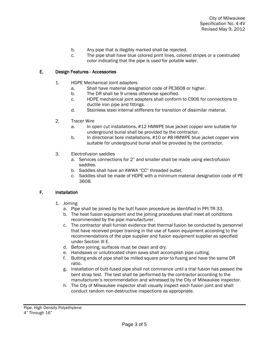- b. Any pipe that is illegibly marked shall be rejected.
- c. The pipe shall have blue colored print lines, colored stripes or a coextruded color indicating that the pipe is used for potable water.

#### E. Design Features - Accessories

- 1. HDPE Mechanical Joint adapters
	- a. Shall have material designation code of PE3608 or higher.
	- b. The DR shall be 9 unless otherwise specified.
	- c. HDPE mechanical joint adapters shall conform to C906 for connections to ductile iron pipe and fittings.
	- d. Stainless steel internal stiffeners for transition of dissimilar material.
- 2. Tracer Wire
	- a. In open cut installations, #12 HMWPE blue jacket copper wire suitable for underground burial shall be provided by the contractor.
	- b. In directional bore installations, #10 or #8 HMWPE blue jacket copper wire suitable for underground burial shall be provided by the contractor.
- 3. Electrofusion saddles
	- a. Services connections for 2" and smaller shall be made using electrofusion saddles.
	- b. Saddles shall have an AWWA "CC" threaded outlet.
	- c. Saddles shall be made of HDPE with a minimum material designation code of PE 3608.

#### F. Installation

- 1. Joining
	- a. Pipe shall be joined by the butt fusion procedure as identified in PPI TR-33.
	- b. The heat fusion equipment and the joining procedures shall meet all conditions recommended by the pipe manufacturer.
	- c. The contractor shall furnish evidence that thermal fusion be conducted by personnel that have received proper training in the use of fusion equipment according to the recommendations of the pipe supplier and fusion equipment supplier as specified under Section III E.
	- d. Before joining, surfaces must be clean and dry.
	- e. Handsaws or unlubricated chain saws shall accomplish pipe cutting.
	- f. Butting ends of pipe shall be milled square prior to fusing and have the same DR ratio.
	- g. Installation of butt-fused pipe shall not commence until a trial fusion has passed the bent strap test. The test shall be performed by the contractor according to the manufacturer's recommendation and witnessed by the City of Milwaukee inspector.
	- h. The City of Milwaukee inspector shall visually inspect each fusion joint and shall conduct random non-destructive inspections as appropriate.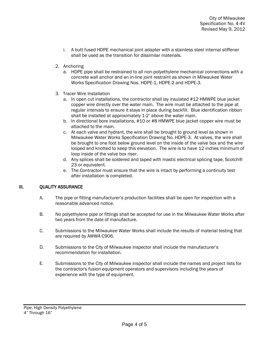- i. A butt fused HDPE mechanical joint adapter with a stainless steel internal stiffener shall be used as the transition for dissimilar materials.
- 2. Anchoring
	- a. HDPE pipe shall be restrained to all non-polyethylene mechanical connections with a concrete wall anchor and an in-line joint restraint as shown in Milwaukee Water Works Specification Drawing Nos. HDPE-1, HDPE-2 and HDPE-3.
- 3. Tracer Wire Installation
	- a. In open cut installations, the contractor shall lay insulated #12 HMWPE blue jacket copper wire directly over the water main. The wire must be attached to the pipe at regular intervals to ensure it stays in place during backfill. Blue identification ribbon shall be installed at approximately 1-2' above the water main.
	- b. In directional bore installations, #10 or #8 HMWPE blue jacket copper wire must be attached to the main.
	- c. At each valve and hydrant, the wire shall be brought to ground level as shown in Milwaukee Water Works Specification Drawing No. HDPE-3. At valves, the wire shall be brought to one foot below ground level on the inside of the valve box and the wire looped and knotted to keep this elevation. The wire is to have 12 inches minimum of loop inside of the valve box riser.
	- d. Any splices shall be soldered and taped with mastic electrical splicing tape, Scotch® 23 or equivalent.
	- e. The Contractor must ensure that the wire is intact by performing a continuity test after installation is completed.

## III. QUALITY ASSURANCE

- A. The pipe or fitting manufacturer's production facilities shall be open for inspection with a reasonable advanced notice.
- B. No polyethylene pipe or fittings shall be accepted for use in the Milwaukee Water Works after two years from the date of manufacture.
- C. Submissions to the Milwaukee Water Works shall include the results of material testing that are required by AWWA C906.
- D. Submissions to the City of Milwaukee inspector shall include the manufacturer's recommendation for installation.
- E. Submissions to the City of Milwaukee inspector shall include the names and project lists for the contractor's fusion equipment operators and supervisors including the years of experience with the type of equipment.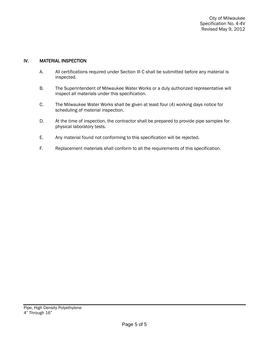### IV. MATERIAL INSPECTION

- A. All certifications required under Section III C shall be submitted before any material is inspected.
- B. The Superintendent of Milwaukee Water Works or a duly authorized representative will inspect all materials under this specification.
- C. The Milwaukee Water Works shall be given at least four (4) working days notice for scheduling of material inspection.
- D. At the time of inspection, the contractor shall be prepared to provide pipe samples for physical laboratory tests.
- E. Any material found not conforming to this specification will be rejected.
- F. Replacement materials shall conform to all the requirements of this specification.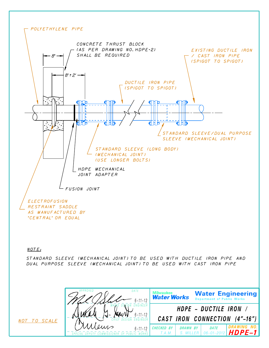

#### NOTE:

DUAL PURPOSE SLEEVE (MECHANICAL JOINT) TO BE USED WITH CAST IRON PIPE STANDARD SLEEVE (MECHANICAL JOINT) TO BE USED WITH DUCTILE IRON PIPE AND



NOT TO SCALE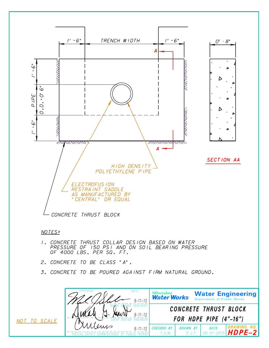